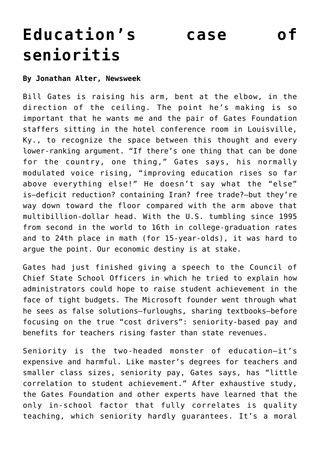## **[Education's case of](https://www.laketahoenews.net/2010/12/educations-case-of-senioritis/) [senioritis](https://www.laketahoenews.net/2010/12/educations-case-of-senioritis/)**

## **By Jonathan Alter, Newsweek**

Bill Gates is raising his arm, bent at the elbow, in the direction of the ceiling. The point he's making is so important that he wants me and the pair of Gates Foundation staffers sitting in the hotel conference room in Louisville, Ky., to recognize the space between this thought and every lower-ranking argument. "If there's one thing that can be done for the country, one thing," Gates says, his normally modulated voice rising, "improving education rises so far above everything else!" He doesn't say what the "else" is—deficit reduction? containing Iran? free trade?—but they're way down toward the floor compared with the arm above that multibillion-dollar head. With the U.S. tumbling since 1995 from second in the world to 16th in college-graduation rates and to 24th place in math (for 15-year-olds), it was hard to argue the point. Our economic destiny is at stake.

Gates had just finished giving a speech to the Council of Chief State School Officers in which he tried to explain how administrators could hope to raise student achievement in the face of tight budgets. The Microsoft founder went through what he sees as false solutions—furloughs, sharing textbooks—before focusing on the true "cost drivers": seniority-based pay and benefits for teachers rising faster than state revenues.

Seniority is the two-headed monster of education—it's expensive and harmful. Like master's degrees for teachers and smaller class sizes, seniority pay, Gates says, has "little correlation to student achievement." After exhaustive study, the Gates Foundation and other experts have learned that the only in-school factor that fully correlates is quality teaching, which seniority hardly guarantees. It's a moral